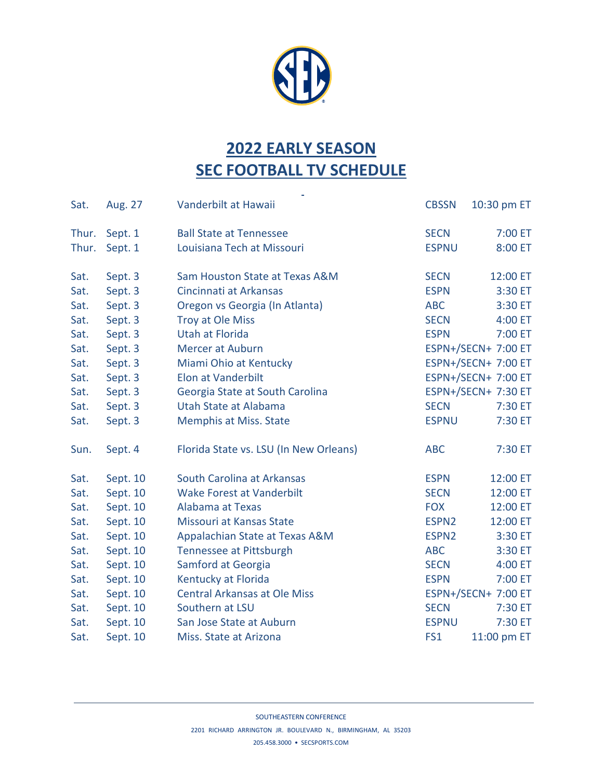

## **2022 EARLY SEASON SEC FOOTBALL TV SCHEDULE**

÷,

| Sat.  | Aug. 27  | Vanderbilt at Hawaii                   | <b>CBSSN</b>        | 10:30 pm ET         |  |
|-------|----------|----------------------------------------|---------------------|---------------------|--|
| Thur. | Sept. 1  | <b>Ball State at Tennessee</b>         | <b>SECN</b>         | 7:00 ET             |  |
| Thur. | Sept. 1  | Louisiana Tech at Missouri             | <b>ESPNU</b>        | 8:00 ET             |  |
| Sat.  | Sept. 3  | Sam Houston State at Texas A&M         | <b>SECN</b>         | 12:00 ET            |  |
| Sat.  | Sept. 3  | Cincinnati at Arkansas                 | <b>ESPN</b>         | 3:30 ET             |  |
| Sat.  | Sept. 3  | Oregon vs Georgia (In Atlanta)         | <b>ABC</b>          | 3:30 ET             |  |
| Sat.  | Sept. 3  | Troy at Ole Miss                       | <b>SECN</b>         | 4:00 ET             |  |
| Sat.  | Sept. 3  | <b>Utah at Florida</b>                 | <b>ESPN</b>         | 7:00 ET             |  |
| Sat.  | Sept. 3  | Mercer at Auburn                       | ESPN+/SECN+ 7:00 ET |                     |  |
| Sat.  | Sept. 3  | Miami Ohio at Kentucky                 | ESPN+/SECN+ 7:00 ET |                     |  |
| Sat.  | Sept. 3  | <b>Elon at Vanderbilt</b>              | ESPN+/SECN+ 7:00 ET |                     |  |
| Sat.  | Sept. 3  | Georgia State at South Carolina        | ESPN+/SECN+ 7:30 ET |                     |  |
| Sat.  | Sept. 3  | Utah State at Alabama                  | <b>SECN</b>         | 7:30 ET             |  |
| Sat.  | Sept. 3  | Memphis at Miss. State                 | <b>ESPNU</b>        | 7:30 ET             |  |
| Sun.  | Sept. 4  | Florida State vs. LSU (In New Orleans) | <b>ABC</b>          | 7:30 ET             |  |
| Sat.  | Sept. 10 | South Carolina at Arkansas             | <b>ESPN</b>         | 12:00 ET            |  |
| Sat.  | Sept. 10 | <b>Wake Forest at Vanderbilt</b>       | <b>SECN</b>         | 12:00 ET            |  |
| Sat.  | Sept. 10 | Alabama at Texas                       | <b>FOX</b>          | 12:00 ET            |  |
| Sat.  | Sept. 10 | Missouri at Kansas State               | ESPN <sub>2</sub>   | 12:00 ET            |  |
| Sat.  | Sept. 10 | Appalachian State at Texas A&M         | ESPN <sub>2</sub>   | 3:30 ET             |  |
| Sat.  | Sept. 10 | <b>Tennessee at Pittsburgh</b>         | <b>ABC</b>          | 3:30 ET             |  |
| Sat.  | Sept. 10 | Samford at Georgia                     | <b>SECN</b>         | 4:00 ET             |  |
| Sat.  | Sept. 10 | Kentucky at Florida                    | <b>ESPN</b>         | 7:00 ET             |  |
| Sat.  | Sept. 10 | <b>Central Arkansas at Ole Miss</b>    |                     | ESPN+/SECN+ 7:00 ET |  |
| Sat.  | Sept. 10 | Southern at LSU                        | <b>SECN</b>         | 7:30 ET             |  |
| Sat.  | Sept. 10 | San Jose State at Auburn               | <b>ESPNU</b>        | 7:30 ET             |  |
| Sat.  | Sept. 10 | Miss. State at Arizona                 | FS1                 | 11:00 pm ET         |  |